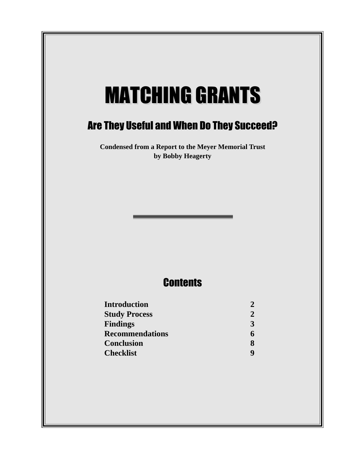# **MATCHING GRANTS**

# Are They Useful and When Do They Succeed?

**Condensed from a Report to the Meyer Memorial Trust by Bobby Heagerty**

# **Contents**

| <b>Introduction</b>    | 2 |
|------------------------|---|
| <b>Study Process</b>   | 2 |
| <b>Findings</b>        | 3 |
| <b>Recommendations</b> |   |
| <b>Conclusion</b>      | x |
| <b>Checklist</b>       |   |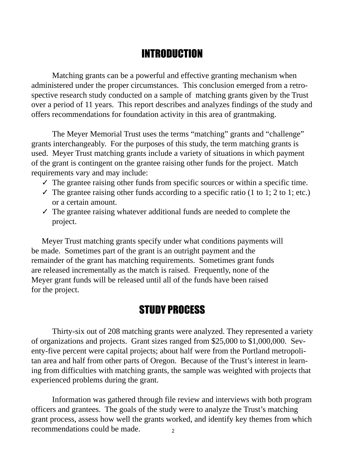# INTRODUCTION

Matching grants can be a powerful and effective granting mechanism when administered under the proper circumstances. This conclusion emerged from a retrospective research study conducted on a sample of matching grants given by the Trust over a period of 11 years. This report describes and analyzes findings of the study and offers recommendations for foundation activity in this area of grantmaking.

The Meyer Memorial Trust uses the terms "matching" grants and "challenge" grants interchangeably. For the purposes of this study, the term matching grants is used. Meyer Trust matching grants include a variety of situations in which payment of the grant is contingent on the grantee raising other funds for the project. Match requirements vary and may include:

- $\checkmark$  The grantee raising other funds from specific sources or within a specific time.
- $\checkmark$  The grantee raising other funds according to a specific ratio (1 to 1; 2 to 1; etc.) or a certain amount.
- $\checkmark$  The grantee raising whatever additional funds are needed to complete the project.

Meyer Trust matching grants specify under what conditions payments will be made. Sometimes part of the grant is an outright payment and the remainder of the grant has matching requirements. Sometimes grant funds are released incrementally as the match is raised. Frequently, none of the Meyer grant funds will be released until all of the funds have been raised for the project.

## STUDY PROCESS

Thirty-six out of 208 matching grants were analyzed. They represented a variety of organizations and projects. Grant sizes ranged from \$25,000 to \$1,000,000. Seventy-five percent were capital projects; about half were from the Portland metropolitan area and half from other parts of Oregon. Because of the Trust's interest in learning from difficulties with matching grants, the sample was weighted with projects that experienced problems during the grant.

Information was gathered through file review and interviews with both program officers and grantees. The goals of the study were to analyze the Trust's matching grant process, assess how well the grants worked, and identify key themes from which recommendations could be made.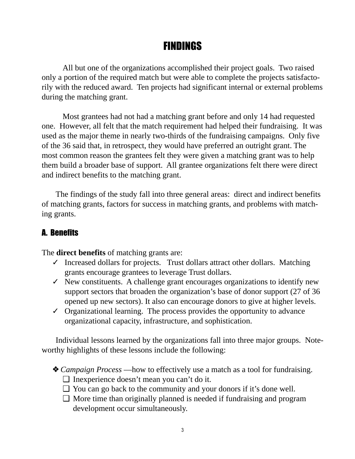# FINDINGS

All but one of the organizations accomplished their project goals. Two raised only a portion of the required match but were able to complete the projects satisfactorily with the reduced award. Ten projects had significant internal or external problems during the matching grant.

Most grantees had not had a matching grant before and only 14 had requested one. However, all felt that the match requirement had helped their fundraising. It was used as the major theme in nearly two-thirds of the fundraising campaigns. Only five of the 36 said that, in retrospect, they would have preferred an outright grant. The most common reason the grantees felt they were given a matching grant was to help them build a broader base of support. All grantee organizations felt there were direct and indirect benefits to the matching grant.

The findings of the study fall into three general areas: direct and indirect benefits of matching grants, factors for success in matching grants, and problems with matching grants.

## A. Benefits

The **direct benefits** of matching grants are:

- $\checkmark$  Increased dollars for projects. Trust dollars attract other dollars. Matching grants encourage grantees to leverage Trust dollars.
- $\checkmark$  New constituents. A challenge grant encourages organizations to identify new support sectors that broaden the organization's base of donor support (27 of 36 opened up new sectors). It also can encourage donors to give at higher levels.
- $\checkmark$  Organizational learning. The process provides the opportunity to advance organizational capacity, infrastructure, and sophistication.

Individual lessons learned by the organizations fall into three major groups. Noteworthy highlights of these lessons include the following:

- ❖ *Campaign Process –*–how to effectively use a match as a tool for fundraising.
	- ❑ Inexperience doesn't mean you can't do it.
	- ❑ You can go back to the community and your donors if it's done well.
	- $\Box$  More time than originally planned is needed if fundraising and program development occur simultaneously.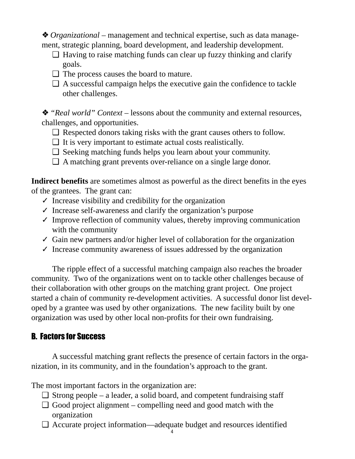❖ *Organizational* – management and technical expertise, such as data management, strategic planning, board development, and leadership development.

- $\Box$  Having to raise matching funds can clear up fuzzy thinking and clarify goals.
- ❑ The process causes the board to mature.
- $\Box$  A successful campaign helps the executive gain the confidence to tackle other challenges.

❖ *"Real world" Context* – lessons about the community and external resources, challenges, and opportunities.

- ❑ Respected donors taking risks with the grant causes others to follow.
- $\Box$  It is very important to estimate actual costs realistically.
- ❑ Seeking matching funds helps you learn about your community.
- ❑ A matching grant prevents over-reliance on a single large donor.

**Indirect benefits** are sometimes almost as powerful as the direct benefits in the eyes of the grantees. The grant can:

- $\checkmark$  Increase visibility and credibility for the organization
- $\checkmark$  Increase self-awareness and clarify the organization's purpose
- $\checkmark$  Improve reflection of community values, thereby improving communication with the community
- $\checkmark$  Gain new partners and/or higher level of collaboration for the organization
- $\checkmark$  Increase community awareness of issues addressed by the organization

The ripple effect of a successful matching campaign also reaches the broader community. Two of the organizations went on to tackle other challenges because of their collaboration with other groups on the matching grant project. One project started a chain of community re-development activities. A successful donor list developed by a grantee was used by other organizations. The new facility built by one organization was used by other local non-profits for their own fundraising.

## B. Factors for Success

A successful matching grant reflects the presence of certain factors in the organization, in its community, and in the foundation's approach to the grant.

The most important factors in the organization are:

- $\Box$  Strong people a leader, a solid board, and competent fundraising staff
- $\Box$  Good project alignment compelling need and good match with the organization
- ❑ Accurate project information––adequate budget and resources identified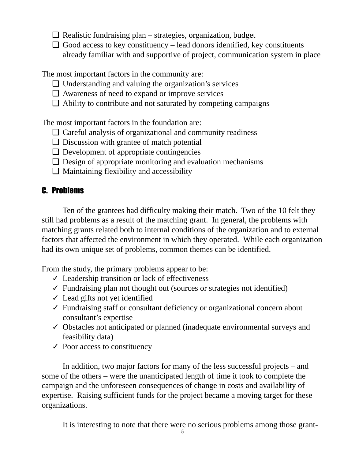- $\Box$  Realistic fundraising plan strategies, organization, budget
- $\Box$  Good access to key constituency lead donors identified, key constituents already familiar with and supportive of project, communication system in place

The most important factors in the community are:

- ❑ Understanding and valuing the organization's services
- ❑ Awareness of need to expand or improve services
- $\Box$  Ability to contribute and not saturated by competing campaigns

The most important factors in the foundation are:

- ❑ Careful analysis of organizational and community readiness
- ❑ Discussion with grantee of match potential
- ❑ Development of appropriate contingencies
- $\Box$  Design of appropriate monitoring and evaluation mechanisms
- $\Box$  Maintaining flexibility and accessibility

## C. Problems

Ten of the grantees had difficulty making their match. Two of the 10 felt they still had problems as a result of the matching grant. In general, the problems with matching grants related both to internal conditions of the organization and to external factors that affected the environment in which they operated. While each organization had its own unique set of problems, common themes can be identified.

From the study, the primary problems appear to be:

- $\angle$  Leadership transition or lack of effectiveness
- $\checkmark$  Fundraising plan not thought out (sources or strategies not identified)
- $\checkmark$  Lead gifts not yet identified
- ✓ Fundraising staff or consultant deficiency or organizational concern about consultant's expertise
- ✓ Obstacles not anticipated or planned (inadequate environmental surveys and feasibility data)
- $\checkmark$  Poor access to constituency

In addition, two major factors for many of the less successful projects – and some of the others – were the unanticipated length of time it took to complete the campaign and the unforeseen consequences of change in costs and availability of expertise. Raising sufficient funds for the project became a moving target for these organizations.

It is interesting to note that there were no serious problems among those grant-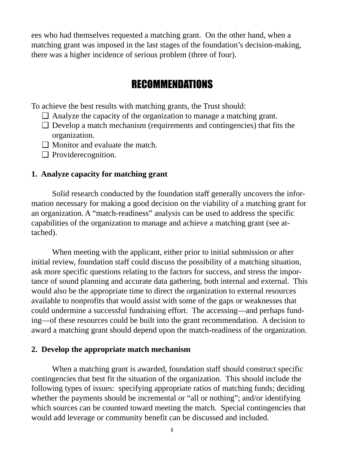ees who had themselves requested a matching grant. On the other hand, when a matching grant was imposed in the last stages of the foundation's decision-making, there was a higher incidence of serious problem (three of four).

## RECOMMENDATIONS

To achieve the best results with matching grants, the Trust should:

- ❑ Analyze the capacity of the organization to manage a matching grant.
- $\Box$  Develop a match mechanism (requirements and contingencies) that fits the organization.
- ❑ Monitor and evaluate the match.
- ❑ Providerecognition.

#### **1. Analyze capacity for matching grant**

Solid research conducted by the foundation staff generally uncovers the information necessary for making a good decision on the viability of a matching grant for an organization. A "match-readiness" analysis can be used to address the specific capabilities of the organization to manage and achieve a matching grant (see attached).

When meeting with the applicant, either prior to initial submission or after initial review, foundation staff could discuss the possibility of a matching situation, ask more specific questions relating to the factors for success, and stress the importance of sound planning and accurate data gathering, both internal and external. This would also be the appropriate time to direct the organization to external resources available to nonprofits that would assist with some of the gaps or weaknesses that could undermine a successful fundraising effort. The accessing––and perhaps funding––of these resources could be built into the grant recommendation. A decision to award a matching grant should depend upon the match-readiness of the organization.

#### **2. Develop the appropriate match mechanism**

When a matching grant is awarded, foundation staff should construct specific contingencies that best fit the situation of the organization. This should include the following types of issues: specifying appropriate ratios of matching funds; deciding whether the payments should be incremental or "all or nothing"; and/or identifying which sources can be counted toward meeting the match. Special contingencies that would add leverage or community benefit can be discussed and included.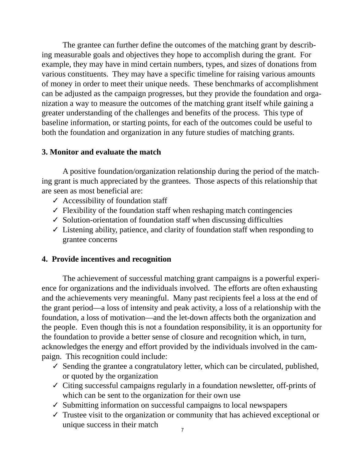The grantee can further define the outcomes of the matching grant by describing measurable goals and objectives they hope to accomplish during the grant. For example, they may have in mind certain numbers, types, and sizes of donations from various constituents. They may have a specific timeline for raising various amounts of money in order to meet their unique needs. These benchmarks of accomplishment can be adjusted as the campaign progresses, but they provide the foundation and organization a way to measure the outcomes of the matching grant itself while gaining a greater understanding of the challenges and benefits of the process. This type of baseline information, or starting points, for each of the outcomes could be useful to both the foundation and organization in any future studies of matching grants.

#### **3. Monitor and evaluate the match**

A positive foundation/organization relationship during the period of the matching grant is much appreciated by the grantees. Those aspects of this relationship that are seen as most beneficial are:

- $\checkmark$  Accessibility of foundation staff
- $\checkmark$  Flexibility of the foundation staff when reshaping match contingencies
- ✓ Solution-orientation of foundation staff when discussing difficulties
- $\checkmark$  Listening ability, patience, and clarity of foundation staff when responding to grantee concerns

#### **4. Provide incentives and recognition**

The achievement of successful matching grant campaigns is a powerful experience for organizations and the individuals involved. The efforts are often exhausting and the achievements very meaningful. Many past recipients feel a loss at the end of the grant period––a loss of intensity and peak activity, a loss of a relationship with the foundation, a loss of motivation––and the let-down affects both the organization and the people. Even though this is not a foundation responsibility, it is an opportunity for the foundation to provide a better sense of closure and recognition which, in turn, acknowledges the energy and effort provided by the individuals involved in the campaign. This recognition could include:

- $\checkmark$  Sending the grantee a congratulatory letter, which can be circulated, published, or quoted by the organization
- ✓ Citing successful campaigns regularly in a foundation newsletter, off-prints of which can be sent to the organization for their own use
- $\checkmark$  Submitting information on successful campaigns to local newspapers
- $\checkmark$  Trustee visit to the organization or community that has achieved exceptional or unique success in their match  $\frac{7}{7}$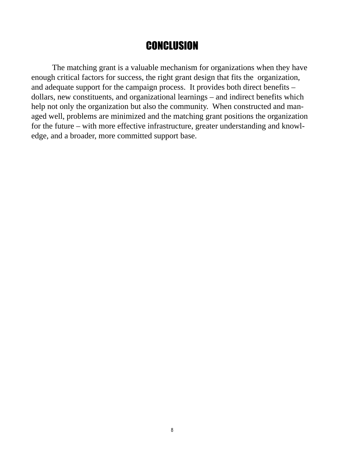## **CONCLUSION**

The matching grant is a valuable mechanism for organizations when they have enough critical factors for success, the right grant design that fits the organization, and adequate support for the campaign process. It provides both direct benefits – dollars, new constituents, and organizational learnings – and indirect benefits which help not only the organization but also the community. When constructed and managed well, problems are minimized and the matching grant positions the organization for the future – with more effective infrastructure, greater understanding and knowledge, and a broader, more committed support base.